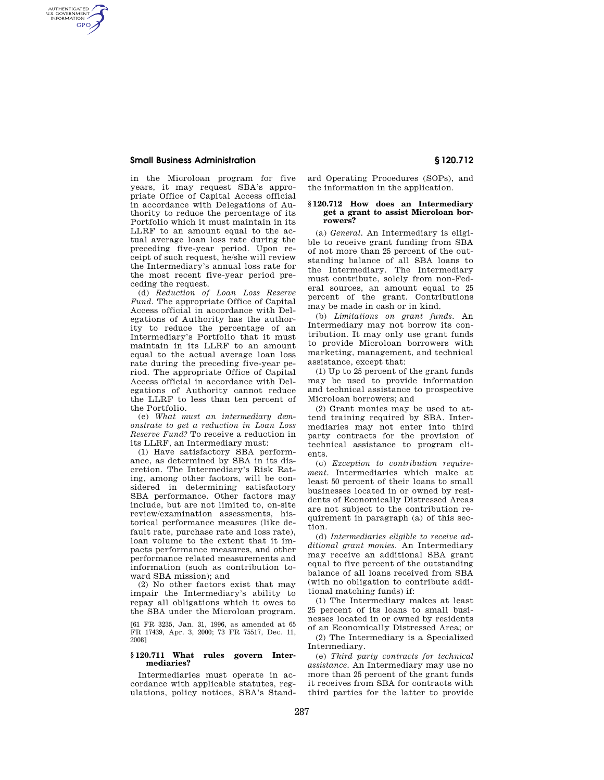## **Small Business Administration § 120.712**

AUTHENTICATED<br>U.S. GOVERNMENT<br>INFORMATION **GPO** 

> in the Microloan program for five years, it may request SBA's appropriate Office of Capital Access official in accordance with Delegations of Authority to reduce the percentage of its Portfolio which it must maintain in its LLRF to an amount equal to the actual average loan loss rate during the preceding five-year period. Upon receipt of such request, he/she will review the Intermediary's annual loss rate for the most recent five-year period preceding the request.

> (d) *Reduction of Loan Loss Reserve Fund.* The appropriate Office of Capital Access official in accordance with Delegations of Authority has the authority to reduce the percentage of an Intermediary's Portfolio that it must maintain in its LLRF to an amount equal to the actual average loan loss rate during the preceding five-year period. The appropriate Office of Capital Access official in accordance with Delegations of Authority cannot reduce the LLRF to less than ten percent of the Portfolio.

> (e) *What must an intermediary demonstrate to get a reduction in Loan Loss Reserve Fund?* To receive a reduction in its LLRF, an Intermediary must:

> (1) Have satisfactory SBA performance, as determined by SBA in its discretion. The Intermediary's Risk Rating, among other factors, will be considered in determining satisfactory SBA performance. Other factors may include, but are not limited to, on-site review/examination assessments, historical performance measures (like default rate, purchase rate and loss rate), loan volume to the extent that it impacts performance measures, and other performance related measurements and information (such as contribution toward SBA mission); and

> (2) No other factors exist that may impair the Intermediary's ability to repay all obligations which it owes to the SBA under the Microloan program.

> [61 FR 3235, Jan. 31, 1996, as amended at 65 FR 17439, Apr. 3, 2000; 73 FR 75517, Dec. 11, 2008]

### **§ 120.711 What rules govern Intermediaries?**

Intermediaries must operate in accordance with applicable statutes, regulations, policy notices, SBA's Standard Operating Procedures (SOPs), and the information in the application.

### **§ 120.712 How does an Intermediary get a grant to assist Microloan borrowers?**

(a) *General.* An Intermediary is eligible to receive grant funding from SBA of not more than 25 percent of the outstanding balance of all SBA loans to the Intermediary. The Intermediary must contribute, solely from non-Federal sources, an amount equal to 25 percent of the grant. Contributions may be made in cash or in kind.

(b) *Limitations on grant funds.* An Intermediary may not borrow its contribution. It may only use grant funds to provide Microloan borrowers with marketing, management, and technical assistance, except that:

(1) Up to 25 percent of the grant funds may be used to provide information and technical assistance to prospective Microloan borrowers; and

(2) Grant monies may be used to attend training required by SBA. Intermediaries may not enter into third party contracts for the provision of technical assistance to program clients.

(c) *Exception to contribution requirement.* Intermediaries which make at least 50 percent of their loans to small businesses located in or owned by residents of Economically Distressed Areas are not subject to the contribution requirement in paragraph (a) of this section.

(d) *Intermediaries eligible to receive additional grant monies.* An Intermediary may receive an additional SBA grant equal to five percent of the outstanding balance of all loans received from SBA (with no obligation to contribute additional matching funds) if:

(1) The Intermediary makes at least 25 percent of its loans to small businesses located in or owned by residents of an Economically Distressed Area; or

(2) The Intermediary is a Specialized Intermediary.

(e) *Third party contracts for technical assistance.* An Intermediary may use no more than 25 percent of the grant funds it receives from SBA for contracts with third parties for the latter to provide